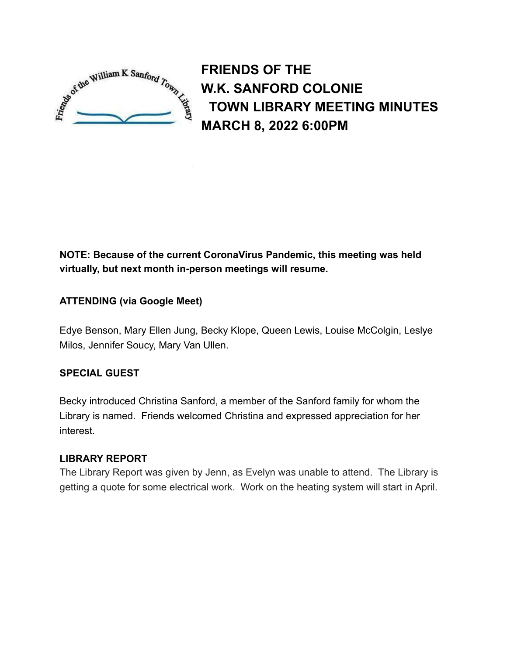

**FRIENDS OF THE W.K. SANFORD COLONIE TOWN LIBRARY MEETING MINUTES MARCH 8, 2022 6:00PM**

# **NOTE: Because of the current CoronaVirus Pandemic, this meeting was held virtually, but next month in-person meetings will resume.**

# **ATTENDING (via Google Meet)**

Edye Benson, Mary Ellen Jung, Becky Klope, Queen Lewis, Louise McColgin, Leslye Milos, Jennifer Soucy, Mary Van Ullen.

# **SPECIAL GUEST**

Becky introduced Christina Sanford, a member of the Sanford family for whom the Library is named. Friends welcomed Christina and expressed appreciation for her interest.

# **LIBRARY REPORT**

The Library Report was given by Jenn, as Evelyn was unable to attend. The Library is getting a quote for some electrical work. Work on the heating system will start in April.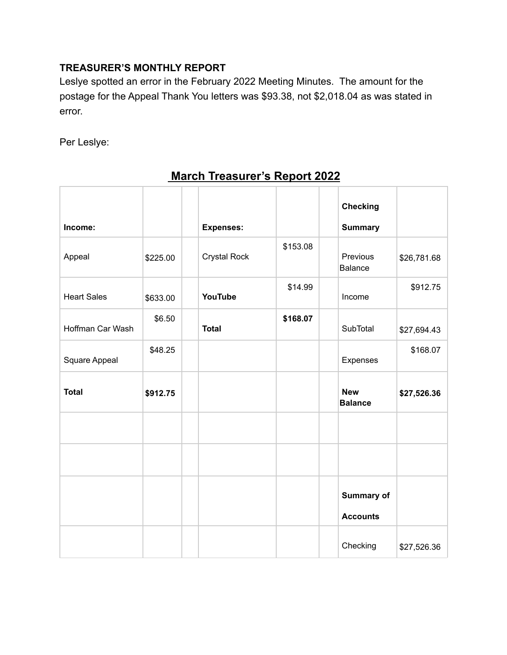# **TREASURER'S MONTHLY REPORT**

Leslye spotted an error in the February 2022 Meeting Minutes. The amount for the postage for the Appeal Thank You letters was \$93.38, not \$2,018.04 as was stated in error.

Per Leslye:

|                    |          |                  |          | <b>Checking</b>              |             |
|--------------------|----------|------------------|----------|------------------------------|-------------|
| Income:            |          | <b>Expenses:</b> |          | <b>Summary</b>               |             |
| Appeal             | \$225.00 | Crystal Rock     | \$153.08 | Previous<br><b>Balance</b>   | \$26,781.68 |
| <b>Heart Sales</b> | \$633.00 | YouTube          | \$14.99  | Income                       | \$912.75    |
| Hoffman Car Wash   | \$6.50   | <b>Total</b>     | \$168.07 | SubTotal                     | \$27,694.43 |
| Square Appeal      | \$48.25  |                  |          | Expenses                     | \$168.07    |
| <b>Total</b>       | \$912.75 |                  |          | <b>New</b><br><b>Balance</b> | \$27,526.36 |
|                    |          |                  |          |                              |             |
|                    |          |                  |          |                              |             |
|                    |          |                  |          | <b>Summary of</b>            |             |
|                    |          |                  |          | <b>Accounts</b>              |             |
|                    |          |                  |          | Checking                     | \$27,526.36 |

# **March Treasurer's Report 2022**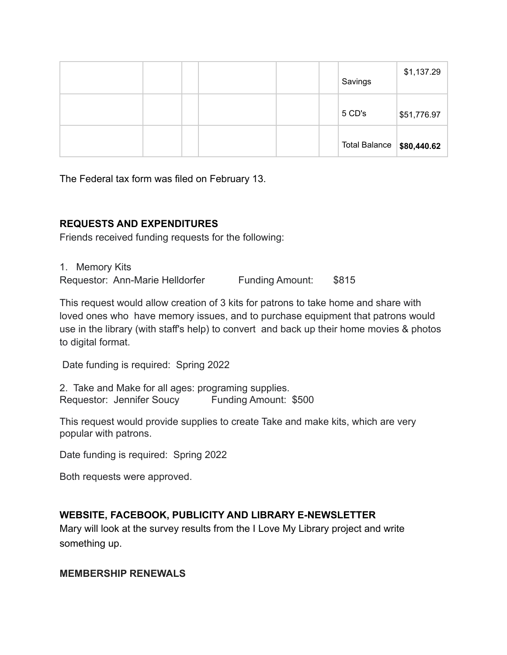|  |  |  | Savings                      | \$1,137.29  |
|--|--|--|------------------------------|-------------|
|  |  |  | 5 CD's                       | \$51,776.97 |
|  |  |  | Total Balance $  $80,440.62$ |             |

The Federal tax form was filed on February 13.

#### **REQUESTS AND EXPENDITURES**

Friends received funding requests for the following:

1. Memory Kits Requestor: Ann-Marie Helldorfer Funding Amount: \$815

This request would allow creation of 3 kits for patrons to take home and share with loved ones who have memory issues, and to purchase equipment that patrons would use in the library (with staff's help) to convert and back up their home movies & photos to digital format.

Date funding is required: Spring 2022

2. Take and Make for all ages: programing supplies. Requestor: Jennifer Soucy Funding Amount: \$500

This request would provide supplies to create Take and make kits, which are very popular with patrons.

Date funding is required: Spring 2022

Both requests were approved.

# **WEBSITE, FACEBOOK, PUBLICITY AND LIBRARY E-NEWSLETTER**

Mary will look at the survey results from the I Love My Library project and write something up.

#### **MEMBERSHIP RENEWALS**